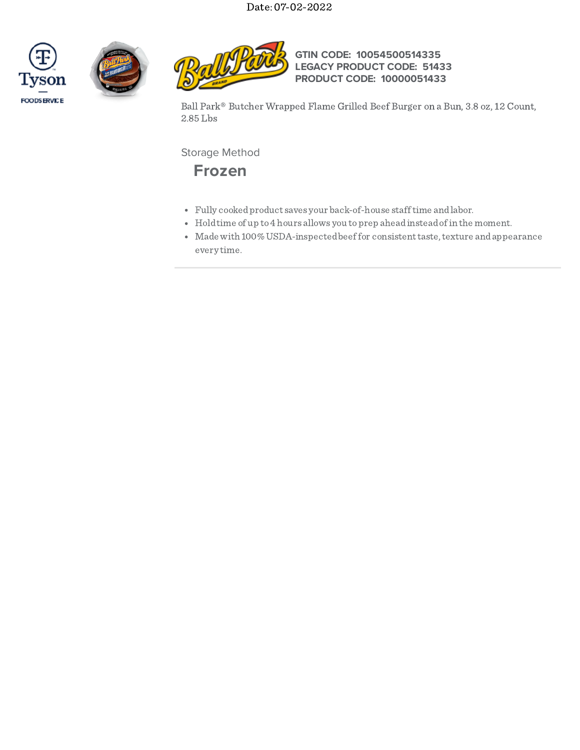





**GTIN CODE: 10054500514335 LEGACY PRODUCT CODE: 51433 PRODUCT CODE: 10000051433**

Ball Park® Butcher Wrapped Flame Grilled Beef Burger on a Bun, 3.8 oz, 12 Count, 2.85 Lbs

Storage Method



- Fully cookedproduct saves your back-of-house stafftime andlabor.
- Holdtime of up to4 hours allows you toprep aheadinsteadofin the moment.
- Made with 100% USDA-inspected beef for consistent taste, texture and appearance every time.